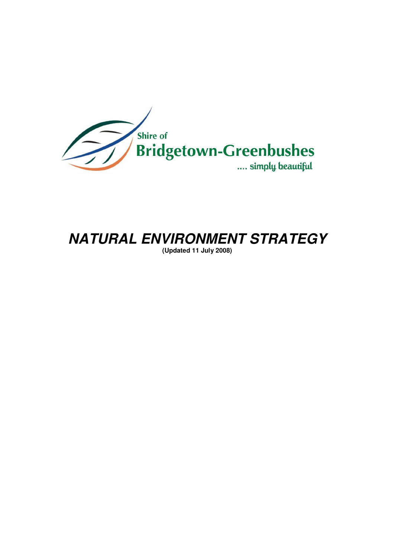

# **NATURAL ENVIRONMENT STRATEGY**

**(Updated 11 July 2008)**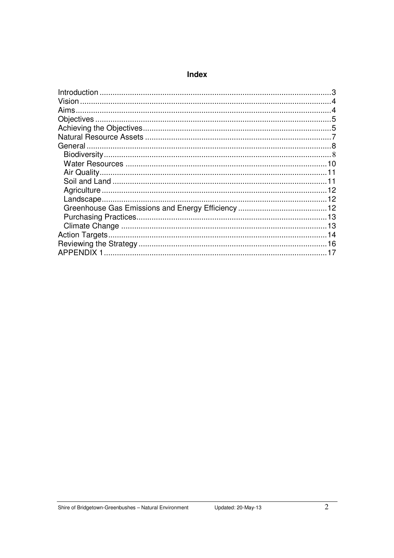#### Index

| Vision |  |
|--------|--|
|        |  |
|        |  |
|        |  |
|        |  |
|        |  |
|        |  |
|        |  |
|        |  |
|        |  |
|        |  |
|        |  |
|        |  |
|        |  |
|        |  |
|        |  |
|        |  |
|        |  |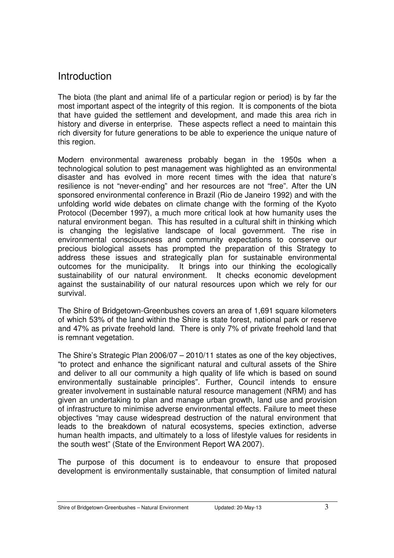# Introduction

The biota (the plant and animal life of a particular region or period) is by far the most important aspect of the integrity of this region. It is components of the biota that have guided the settlement and development, and made this area rich in history and diverse in enterprise. These aspects reflect a need to maintain this rich diversity for future generations to be able to experience the unique nature of this region.

Modern environmental awareness probably began in the 1950s when a technological solution to pest management was highlighted as an environmental disaster and has evolved in more recent times with the idea that nature's resilience is not "never-ending" and her resources are not "free". After the UN sponsored environmental conference in Brazil (Rio de Janeiro 1992) and with the unfolding world wide debates on climate change with the forming of the Kyoto Protocol (December 1997), a much more critical look at how humanity uses the natural environment began. This has resulted in a cultural shift in thinking which is changing the legislative landscape of local government. The rise in environmental consciousness and community expectations to conserve our precious biological assets has prompted the preparation of this Strategy to address these issues and strategically plan for sustainable environmental outcomes for the municipality. It brings into our thinking the ecologically sustainability of our natural environment. It checks economic development against the sustainability of our natural resources upon which we rely for our survival.

The Shire of Bridgetown-Greenbushes covers an area of 1,691 square kilometers of which 53% of the land within the Shire is state forest, national park or reserve and 47% as private freehold land. There is only 7% of private freehold land that is remnant vegetation.

The Shire's Strategic Plan 2006/07 – 2010/11 states as one of the key objectives, "to protect and enhance the significant natural and cultural assets of the Shire and deliver to all our community a high quality of life which is based on sound environmentally sustainable principles". Further, Council intends to ensure greater involvement in sustainable natural resource management (NRM) and has given an undertaking to plan and manage urban growth, land use and provision of infrastructure to minimise adverse environmental effects. Failure to meet these objectives "may cause widespread destruction of the natural environment that leads to the breakdown of natural ecosystems, species extinction, adverse human health impacts, and ultimately to a loss of lifestyle values for residents in the south west" (State of the Environment Report WA 2007).

The purpose of this document is to endeavour to ensure that proposed development is environmentally sustainable, that consumption of limited natural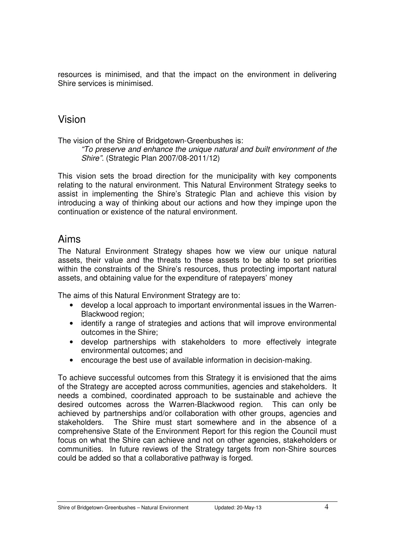resources is minimised, and that the impact on the environment in delivering Shire services is minimised.

### Vision

The vision of the Shire of Bridgetown-Greenbushes is:

"To preserve and enhance the unique natural and built environment of the Shire". (Strategic Plan 2007/08-2011/12)

This vision sets the broad direction for the municipality with key components relating to the natural environment. This Natural Environment Strategy seeks to assist in implementing the Shire's Strategic Plan and achieve this vision by introducing a way of thinking about our actions and how they impinge upon the continuation or existence of the natural environment.

# Aims

The Natural Environment Strategy shapes how we view our unique natural assets, their value and the threats to these assets to be able to set priorities within the constraints of the Shire's resources, thus protecting important natural assets, and obtaining value for the expenditure of ratepayers' money

The aims of this Natural Environment Strategy are to:

- develop a local approach to important environmental issues in the Warren-Blackwood region:
- identify a range of strategies and actions that will improve environmental outcomes in the Shire;
- develop partnerships with stakeholders to more effectively integrate environmental outcomes; and
- encourage the best use of available information in decision-making.

To achieve successful outcomes from this Strategy it is envisioned that the aims of the Strategy are accepted across communities, agencies and stakeholders. It needs a combined, coordinated approach to be sustainable and achieve the desired outcomes across the Warren-Blackwood region. This can only be achieved by partnerships and/or collaboration with other groups, agencies and stakeholders. The Shire must start somewhere and in the absence of a comprehensive State of the Environment Report for this region the Council must focus on what the Shire can achieve and not on other agencies, stakeholders or communities. In future reviews of the Strategy targets from non-Shire sources could be added so that a collaborative pathway is forged.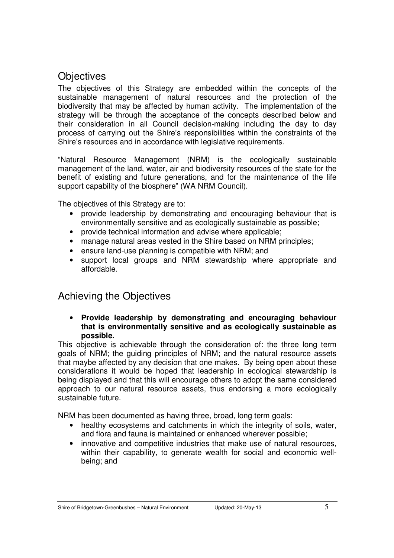# **Objectives**

The objectives of this Strategy are embedded within the concepts of the sustainable management of natural resources and the protection of the biodiversity that may be affected by human activity. The implementation of the strategy will be through the acceptance of the concepts described below and their consideration in all Council decision-making including the day to day process of carrying out the Shire's responsibilities within the constraints of the Shire's resources and in accordance with legislative requirements.

"Natural Resource Management (NRM) is the ecologically sustainable management of the land, water, air and biodiversity resources of the state for the benefit of existing and future generations, and for the maintenance of the life support capability of the biosphere" (WA NRM Council).

The objectives of this Strategy are to:

- provide leadership by demonstrating and encouraging behaviour that is environmentally sensitive and as ecologically sustainable as possible;
- provide technical information and advise where applicable;
- manage natural areas vested in the Shire based on NRM principles;
- ensure land-use planning is compatible with NRM; and
- support local groups and NRM stewardship where appropriate and affordable.

# Achieving the Objectives

• **Provide leadership by demonstrating and encouraging behaviour that is environmentally sensitive and as ecologically sustainable as possible.** 

This objective is achievable through the consideration of: the three long term goals of NRM; the guiding principles of NRM; and the natural resource assets that maybe affected by any decision that one makes. By being open about these considerations it would be hoped that leadership in ecological stewardship is being displayed and that this will encourage others to adopt the same considered approach to our natural resource assets, thus endorsing a more ecologically sustainable future.

NRM has been documented as having three, broad, long term goals:

- healthy ecosystems and catchments in which the integrity of soils, water, and flora and fauna is maintained or enhanced wherever possible;
- innovative and competitive industries that make use of natural resources, within their capability, to generate wealth for social and economic wellbeing; and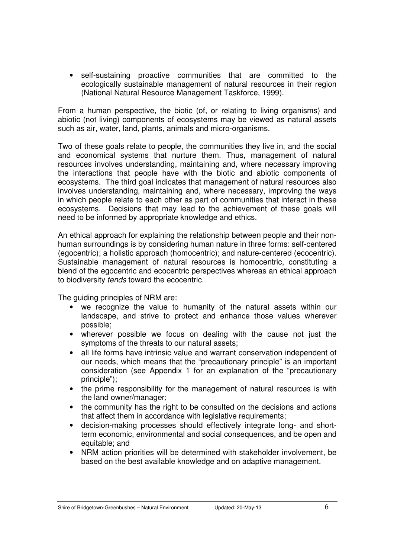• self-sustaining proactive communities that are committed to the ecologically sustainable management of natural resources in their region (National Natural Resource Management Taskforce, 1999).

From a human perspective, the biotic (of, or relating to living organisms) and abiotic (not living) components of ecosystems may be viewed as natural assets such as air, water, land, plants, animals and micro-organisms.

Two of these goals relate to people, the communities they live in, and the social and economical systems that nurture them. Thus, management of natural resources involves understanding, maintaining and, where necessary improving the interactions that people have with the biotic and abiotic components of ecosystems. The third goal indicates that management of natural resources also involves understanding, maintaining and, where necessary, improving the ways in which people relate to each other as part of communities that interact in these ecosystems. Decisions that may lead to the achievement of these goals will need to be informed by appropriate knowledge and ethics.

An ethical approach for explaining the relationship between people and their nonhuman surroundings is by considering human nature in three forms: self-centered (egocentric); a holistic approach (homocentric); and nature-centered (ecocentric). Sustainable management of natural resources is homocentric, constituting a blend of the egocentric and ecocentric perspectives whereas an ethical approach to biodiversity tends toward the ecocentric.

The guiding principles of NRM are:

- we recognize the value to humanity of the natural assets within our landscape, and strive to protect and enhance those values wherever possible;
- wherever possible we focus on dealing with the cause not just the symptoms of the threats to our natural assets;
- all life forms have intrinsic value and warrant conservation independent of our needs, which means that the "precautionary principle" is an important consideration (see Appendix 1 for an explanation of the "precautionary principle");
- the prime responsibility for the management of natural resources is with the land owner/manager;
- the community has the right to be consulted on the decisions and actions that affect them in accordance with legislative requirements;
- decision-making processes should effectively integrate long- and shortterm economic, environmental and social consequences, and be open and equitable; and
- NRM action priorities will be determined with stakeholder involvement, be based on the best available knowledge and on adaptive management.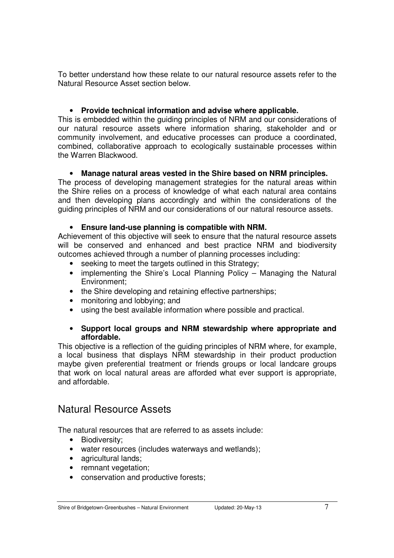To better understand how these relate to our natural resource assets refer to the Natural Resource Asset section below.

#### • **Provide technical information and advise where applicable.**

This is embedded within the guiding principles of NRM and our considerations of our natural resource assets where information sharing, stakeholder and or community involvement, and educative processes can produce a coordinated, combined, collaborative approach to ecologically sustainable processes within the Warren Blackwood.

#### • **Manage natural areas vested in the Shire based on NRM principles.**

The process of developing management strategies for the natural areas within the Shire relies on a process of knowledge of what each natural area contains and then developing plans accordingly and within the considerations of the guiding principles of NRM and our considerations of our natural resource assets.

#### • **Ensure land-use planning is compatible with NRM.**

Achievement of this objective will seek to ensure that the natural resource assets will be conserved and enhanced and best practice NRM and biodiversity outcomes achieved through a number of planning processes including:

- seeking to meet the targets outlined in this Strategy;
- implementing the Shire's Local Planning Policy Managing the Natural Environment;
- the Shire developing and retaining effective partnerships;
- monitoring and lobbying; and
- using the best available information where possible and practical.

#### • **Support local groups and NRM stewardship where appropriate and affordable.**

This objective is a reflection of the guiding principles of NRM where, for example, a local business that displays NRM stewardship in their product production maybe given preferential treatment or friends groups or local landcare groups that work on local natural areas are afforded what ever support is appropriate, and affordable.

# Natural Resource Assets

The natural resources that are referred to as assets include:

- Biodiversity;
- water resources (includes waterways and wetlands);
- agricultural lands;
- remnant vegetation;
- conservation and productive forests;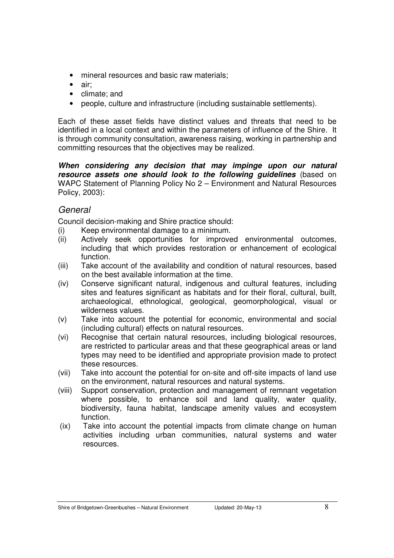- mineral resources and basic raw materials;
- air;
- climate; and
- people, culture and infrastructure (including sustainable settlements).

Each of these asset fields have distinct values and threats that need to be identified in a local context and within the parameters of influence of the Shire. It is through community consultation, awareness raising, working in partnership and committing resources that the objectives may be realized.

**When considering any decision that may impinge upon our natural resource assets one should look to the following guidelines** (based on WAPC Statement of Planning Policy No 2 – Environment and Natural Resources Policy, 2003):

#### General

Council decision-making and Shire practice should:

- (i) Keep environmental damage to a minimum.
- (ii) Actively seek opportunities for improved environmental outcomes, including that which provides restoration or enhancement of ecological function.
- (iii) Take account of the availability and condition of natural resources, based on the best available information at the time.
- (iv) Conserve significant natural, indigenous and cultural features, including sites and features significant as habitats and for their floral, cultural, built, archaeological, ethnological, geological, geomorphological, visual or wilderness values.
- (v) Take into account the potential for economic, environmental and social (including cultural) effects on natural resources.
- (vi) Recognise that certain natural resources, including biological resources, are restricted to particular areas and that these geographical areas or land types may need to be identified and appropriate provision made to protect these resources.
- (vii) Take into account the potential for on-site and off-site impacts of land use on the environment, natural resources and natural systems.
- (viii) Support conservation, protection and management of remnant vegetation where possible, to enhance soil and land quality, water quality, biodiversity, fauna habitat, landscape amenity values and ecosystem function.
- (ix) Take into account the potential impacts from climate change on human activities including urban communities, natural systems and water resources.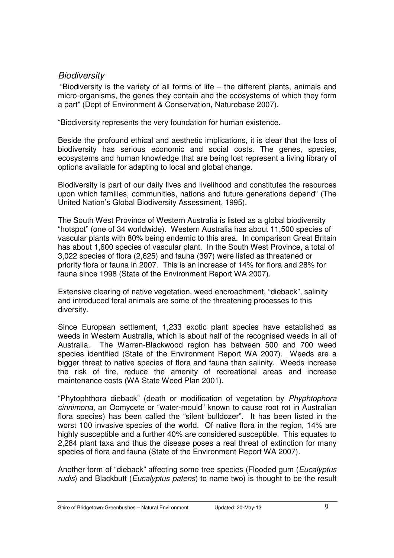#### **Biodiversity**

 "Biodiversity is the variety of all forms of life – the different plants, animals and micro-organisms, the genes they contain and the ecosystems of which they form a part" (Dept of Environment & Conservation, Naturebase 2007).

"Biodiversity represents the very foundation for human existence.

Beside the profound ethical and aesthetic implications, it is clear that the loss of biodiversity has serious economic and social costs. The genes, species, ecosystems and human knowledge that are being lost represent a living library of options available for adapting to local and global change.

Biodiversity is part of our daily lives and livelihood and constitutes the resources upon which families, communities, nations and future generations depend" (The United Nation's Global Biodiversity Assessment, 1995).

The South West Province of Western Australia is listed as a global biodiversity "hotspot" (one of 34 worldwide). Western Australia has about 11,500 species of vascular plants with 80% being endemic to this area. In comparison Great Britain has about 1,600 species of vascular plant. In the South West Province, a total of 3,022 species of flora (2,625) and fauna (397) were listed as threatened or priority flora or fauna in 2007. This is an increase of 14% for flora and 28% for fauna since 1998 (State of the Environment Report WA 2007).

Extensive clearing of native vegetation, weed encroachment, "dieback", salinity and introduced feral animals are some of the threatening processes to this diversity.

Since European settlement, 1,233 exotic plant species have established as weeds in Western Australia, which is about half of the recognised weeds in all of Australia. The Warren-Blackwood region has between 500 and 700 weed species identified (State of the Environment Report WA 2007). Weeds are a bigger threat to native species of flora and fauna than salinity. Weeds increase the risk of fire, reduce the amenity of recreational areas and increase maintenance costs (WA State Weed Plan 2001).

"Phytophthora dieback" (death or modification of vegetation by Phyphtophora cinnimona, an Oomycete or "water-mould" known to cause root rot in Australian flora species) has been called the "silent bulldozer". It has been listed in the worst 100 invasive species of the world. Of native flora in the region, 14% are highly susceptible and a further 40% are considered susceptible. This equates to 2,284 plant taxa and thus the disease poses a real threat of extinction for many species of flora and fauna (State of the Environment Report WA 2007).

Another form of "dieback" affecting some tree species (Flooded gum (Eucalyptus rudis) and Blackbutt (*Eucalyptus patens*) to name two) is thought to be the result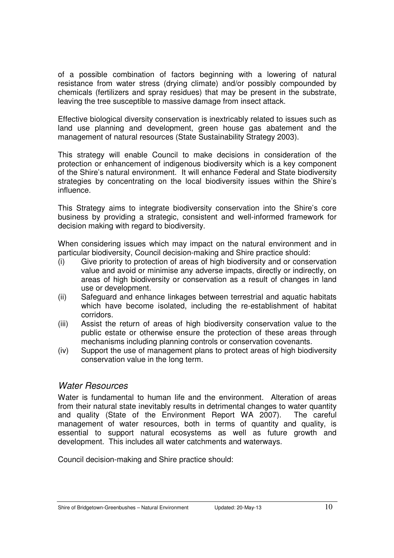of a possible combination of factors beginning with a lowering of natural resistance from water stress (drying climate) and/or possibly compounded by chemicals (fertilizers and spray residues) that may be present in the substrate, leaving the tree susceptible to massive damage from insect attack.

Effective biological diversity conservation is inextricably related to issues such as land use planning and development, green house gas abatement and the management of natural resources (State Sustainability Strategy 2003).

This strategy will enable Council to make decisions in consideration of the protection or enhancement of indigenous biodiversity which is a key component of the Shire's natural environment. It will enhance Federal and State biodiversity strategies by concentrating on the local biodiversity issues within the Shire's influence.

This Strategy aims to integrate biodiversity conservation into the Shire's core business by providing a strategic, consistent and well-informed framework for decision making with regard to biodiversity.

When considering issues which may impact on the natural environment and in particular biodiversity, Council decision-making and Shire practice should:

- (i) Give priority to protection of areas of high biodiversity and or conservation value and avoid or minimise any adverse impacts, directly or indirectly, on areas of high biodiversity or conservation as a result of changes in land use or development.
- (ii) Safeguard and enhance linkages between terrestrial and aquatic habitats which have become isolated, including the re-establishment of habitat corridors.
- (iii) Assist the return of areas of high biodiversity conservation value to the public estate or otherwise ensure the protection of these areas through mechanisms including planning controls or conservation covenants.
- (iv) Support the use of management plans to protect areas of high biodiversity conservation value in the long term.

#### Water Resources

Water is fundamental to human life and the environment. Alteration of areas from their natural state inevitably results in detrimental changes to water quantity and quality (State of the Environment Report WA 2007). The careful management of water resources, both in terms of quantity and quality, is essential to support natural ecosystems as well as future growth and development. This includes all water catchments and waterways.

Council decision-making and Shire practice should: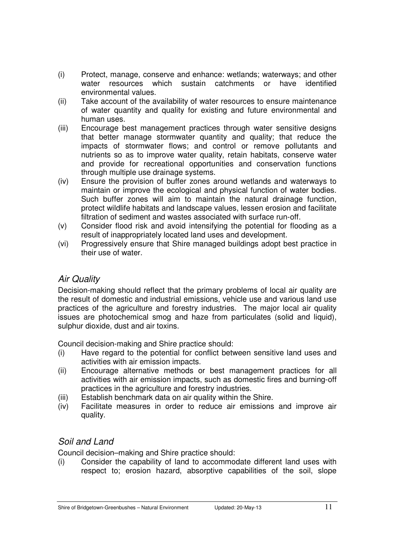- (i) Protect, manage, conserve and enhance: wetlands; waterways; and other water resources which sustain catchments or have identified environmental values.
- (ii) Take account of the availability of water resources to ensure maintenance of water quantity and quality for existing and future environmental and human uses.
- (iii) Encourage best management practices through water sensitive designs that better manage stormwater quantity and quality; that reduce the impacts of stormwater flows; and control or remove pollutants and nutrients so as to improve water quality, retain habitats, conserve water and provide for recreational opportunities and conservation functions through multiple use drainage systems.
- (iv) Ensure the provision of buffer zones around wetlands and waterways to maintain or improve the ecological and physical function of water bodies. Such buffer zones will aim to maintain the natural drainage function, protect wildlife habitats and landscape values, lessen erosion and facilitate filtration of sediment and wastes associated with surface run-off.
- (v) Consider flood risk and avoid intensifying the potential for flooding as a result of inappropriately located land uses and development.
- (vi) Progressively ensure that Shire managed buildings adopt best practice in their use of water.

### Air Quality

Decision-making should reflect that the primary problems of local air quality are the result of domestic and industrial emissions, vehicle use and various land use practices of the agriculture and forestry industries. The major local air quality issues are photochemical smog and haze from particulates (solid and liquid), sulphur dioxide, dust and air toxins.

Council decision-making and Shire practice should:

- (i) Have regard to the potential for conflict between sensitive land uses and activities with air emission impacts.
- (ii) Encourage alternative methods or best management practices for all activities with air emission impacts, such as domestic fires and burning-off practices in the agriculture and forestry industries.
- (iii) Establish benchmark data on air quality within the Shire.
- (iv) Facilitate measures in order to reduce air emissions and improve air quality.

# Soil and Land

Council decision–making and Shire practice should:

(i) Consider the capability of land to accommodate different land uses with respect to; erosion hazard, absorptive capabilities of the soil, slope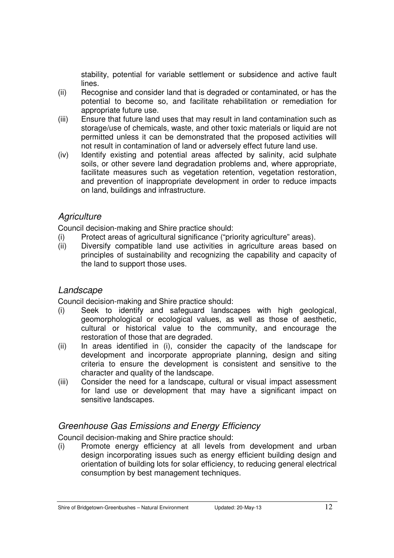stability, potential for variable settlement or subsidence and active fault lines.

- (ii) Recognise and consider land that is degraded or contaminated, or has the potential to become so, and facilitate rehabilitation or remediation for appropriate future use.
- (iii) Ensure that future land uses that may result in land contamination such as storage/use of chemicals, waste, and other toxic materials or liquid are not permitted unless it can be demonstrated that the proposed activities will not result in contamination of land or adversely effect future land use.
- (iv) Identify existing and potential areas affected by salinity, acid sulphate soils, or other severe land degradation problems and, where appropriate, facilitate measures such as vegetation retention, vegetation restoration, and prevention of inappropriate development in order to reduce impacts on land, buildings and infrastructure.

#### **Agriculture**

Council decision-making and Shire practice should:

- (i) Protect areas of agricultural significance ("priority agriculture" areas).
- Diversify compatible land use activities in agriculture areas based on principles of sustainability and recognizing the capability and capacity of the land to support those uses.

#### **Landscape**

Council decision-making and Shire practice should:

- (i) Seek to identify and safeguard landscapes with high geological, geomorphological or ecological values, as well as those of aesthetic, cultural or historical value to the community, and encourage the restoration of those that are degraded.
- (ii) In areas identified in (i), consider the capacity of the landscape for development and incorporate appropriate planning, design and siting criteria to ensure the development is consistent and sensitive to the character and quality of the landscape.
- (iii) Consider the need for a landscape, cultural or visual impact assessment for land use or development that may have a significant impact on sensitive landscapes.

### Greenhouse Gas Emissions and Energy Efficiency

Council decision-making and Shire practice should:

(i) Promote energy efficiency at all levels from development and urban design incorporating issues such as energy efficient building design and orientation of building lots for solar efficiency, to reducing general electrical consumption by best management techniques.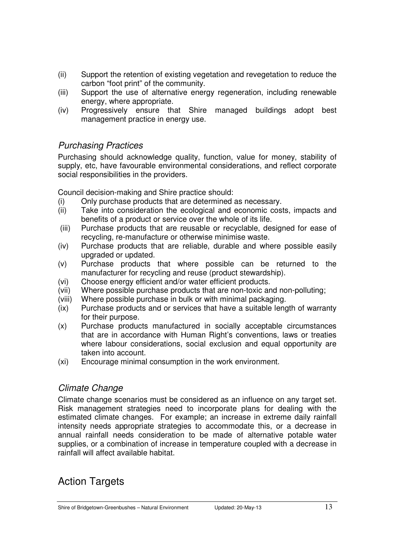- (ii) Support the retention of existing vegetation and revegetation to reduce the carbon "foot print" of the community.
- (iii) Support the use of alternative energy regeneration, including renewable energy, where appropriate.
- (iv) Progressively ensure that Shire managed buildings adopt best management practice in energy use.

### Purchasing Practices

Purchasing should acknowledge quality, function, value for money, stability of supply, etc, have favourable environmental considerations, and reflect corporate social responsibilities in the providers.

Council decision-making and Shire practice should:

- (i) Only purchase products that are determined as necessary.
- (ii) Take into consideration the ecological and economic costs, impacts and benefits of a product or service over the whole of its life.
- (iii) Purchase products that are reusable or recyclable, designed for ease of recycling, re-manufacture or otherwise minimise waste.
- (iv) Purchase products that are reliable, durable and where possible easily upgraded or updated.
- (v) Purchase products that where possible can be returned to the manufacturer for recycling and reuse (product stewardship).
- (vi) Choose energy efficient and/or water efficient products.
- (vii) Where possible purchase products that are non-toxic and non-polluting;
- (viii) Where possible purchase in bulk or with minimal packaging.
- (ix) Purchase products and or services that have a suitable length of warranty for their purpose.
- (x) Purchase products manufactured in socially acceptable circumstances that are in accordance with Human Right's conventions, laws or treaties where labour considerations, social exclusion and equal opportunity are taken into account.
- (xi) Encourage minimal consumption in the work environment.

### Climate Change

Climate change scenarios must be considered as an influence on any target set. Risk management strategies need to incorporate plans for dealing with the estimated climate changes. For example; an increase in extreme daily rainfall intensity needs appropriate strategies to accommodate this, or a decrease in annual rainfall needs consideration to be made of alternative potable water supplies, or a combination of increase in temperature coupled with a decrease in rainfall will affect available habitat.

# Action Targets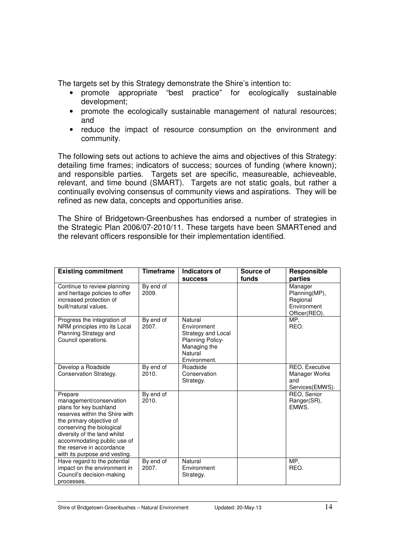The targets set by this Strategy demonstrate the Shire's intention to:

- promote appropriate "best practice" for ecologically sustainable development;
- promote the ecologically sustainable management of natural resources; and
- reduce the impact of resource consumption on the environment and community.

The following sets out actions to achieve the aims and objectives of this Strategy: detailing time frames; indicators of success; sources of funding (where known); and responsible parties. Targets set are specific, measureable, achieveable, relevant, and time bound (SMART). Targets are not static goals, but rather a continually evolving consensus of community views and aspirations. They will be refined as new data, concepts and opportunities arise.

The Shire of Bridgetown-Greenbushes has endorsed a number of strategies in the Strategic Plan 2006/07-2010/11. These targets have been SMARTened and the relevant officers responsible for their implementation identified.

| <b>Existing commitment</b>                                                                                                                                                                                                                                                           | <b>Timeframe</b>   | Indicators of<br><b>SUCCESS</b>                                                                             | Source of<br>funds | Responsible<br>parties                                               |
|--------------------------------------------------------------------------------------------------------------------------------------------------------------------------------------------------------------------------------------------------------------------------------------|--------------------|-------------------------------------------------------------------------------------------------------------|--------------------|----------------------------------------------------------------------|
| Continue to review planning<br>and heritage policies to offer<br>increased protection of<br>built/natural values.                                                                                                                                                                    | By end of<br>2009. |                                                                                                             |                    | Manager<br>Planning(MP),<br>Regional<br>Environment<br>Officer(REO). |
| Progress the integration of<br>NRM principles into its Local<br>Planning Strategy and<br>Council operations.                                                                                                                                                                         | By end of<br>2007. | Natural<br>Environment<br>Strategy and Local<br>Planning Policy-<br>Managing the<br>Natural<br>Environment. |                    | MP,<br>REO.                                                          |
| Develop a Roadside<br>Conservation Strategy.                                                                                                                                                                                                                                         | By end of<br>2010. | Roadside<br>Conservation<br>Strategy.                                                                       |                    | REO, Executive<br>Manager Works<br>and<br>Services (EMWS).           |
| Prepare<br>management/conservation<br>plans for key bushland<br>reserves within the Shire with<br>the primary objective of<br>conserving the biological<br>diversity of the land whilst<br>accommodating public use of<br>the reserve in accordance<br>with its purpose and vesting. | By end of<br>2010. |                                                                                                             |                    | REO, Senior<br>Ranger(SR),<br>EMWS.                                  |
| Have regard to the potential<br>impact on the environment in<br>Council's decision-making<br>processes.                                                                                                                                                                              | By end of<br>2007. | Natural<br>Environment<br>Strategy.                                                                         |                    | MP.<br>REO.                                                          |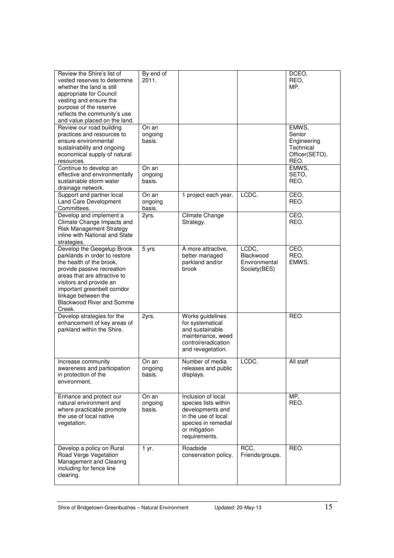| Review the Shire's list of                                        | By end of        |                                            |                 | DCEO.          |
|-------------------------------------------------------------------|------------------|--------------------------------------------|-----------------|----------------|
| vested reserves to determine                                      | 2011.            |                                            |                 | REO,           |
| whether the land is still                                         |                  |                                            |                 | MP.            |
| appropriate for Council<br>vesting and ensure the                 |                  |                                            |                 |                |
| purpose of the reserve                                            |                  |                                            |                 |                |
| reflects the community's use                                      |                  |                                            |                 |                |
| and value placed on the land.                                     |                  |                                            |                 |                |
| Review our road building                                          | On an            |                                            |                 | EMWS,          |
| practices and resources to                                        | ongoing          |                                            |                 | Senior         |
| ensure environmental                                              | basis.           |                                            |                 | Engineering    |
| sustainability and ongoing                                        |                  |                                            |                 | Technical      |
| economical supply of natural                                      |                  |                                            |                 | Officer(SETO), |
| resources.<br>Continue to develop an                              | On an            |                                            |                 | REO.<br>EMWS,  |
| effective and environmentally                                     | ongoing          |                                            |                 | SETO,          |
| sustainable storm water                                           | basis.           |                                            |                 | REO.           |
| drainage network.                                                 |                  |                                            |                 |                |
| Support and partner local                                         | On an            | 1 project each year.                       | LCDC.           | CEO,           |
| Land Care Development                                             | ongoing          |                                            |                 | REO.           |
| Committees.                                                       | basis.           |                                            |                 |                |
| Develop and implement a                                           | 2yrs.            | Climate Change                             |                 | CEO,           |
| Climate Change Impacts and                                        |                  | Strategy.                                  |                 | REO.           |
| <b>Risk Management Strategy</b><br>inline with National and State |                  |                                            |                 |                |
| strategies.                                                       |                  |                                            |                 |                |
| Develop the Geegelup Brook                                        | 5 yrs            | A more attractive,                         | LCDC.           | CEO,           |
| parklands in order to restore                                     |                  | better managed                             | Blackwood       | REO,           |
| the health of the brook,                                          |                  | parkland and/or                            | Environmental   | EMWS.          |
| provide passive recreation                                        |                  | brook                                      | Society(BES)    |                |
| areas that are attractive to                                      |                  |                                            |                 |                |
| visitors and provide an                                           |                  |                                            |                 |                |
| important greenbelt corridor<br>linkage between the               |                  |                                            |                 |                |
| <b>Blackwood River and Somme</b>                                  |                  |                                            |                 |                |
| Creek.                                                            |                  |                                            |                 |                |
| Develop strategies for the                                        | 2yrs.            | Works guidelines                           |                 | REO.           |
| enhancement of key areas of                                       |                  | for systematical                           |                 |                |
| parkland within the Shire.                                        |                  | and sustainable                            |                 |                |
|                                                                   |                  | maintenance, weed                          |                 |                |
|                                                                   |                  | control/eradication                        |                 |                |
|                                                                   |                  | and revegetation.                          |                 |                |
| Increase community                                                | On an            | Number of media                            | LCDC.           | All staff      |
| awareness and participation                                       | ongoing          | releases and public                        |                 |                |
| in protection of the                                              | basis.           | displays.                                  |                 |                |
| environment.                                                      |                  |                                            |                 |                |
|                                                                   |                  |                                            |                 |                |
| Enhance and protect our<br>natural environment and                | On an<br>ongoing | Inclusion of local<br>species lists within |                 | MP,<br>REO.    |
| where practicable promote                                         | basis.           | developments and                           |                 |                |
| the use of local native                                           |                  | in the use of local                        |                 |                |
| vegetation.                                                       |                  | species in remedial                        |                 |                |
|                                                                   |                  | or mitigation                              |                 |                |
|                                                                   |                  | requirements.                              |                 |                |
| Develop a policy on Rural                                         | 1 yr.            | Roadside                                   | RCC,            | REO.           |
| Road Verge Vegetation                                             |                  | conservation policy.                       | Friends/groups. |                |
| Management and Clearing                                           |                  |                                            |                 |                |
| including for fence line                                          |                  |                                            |                 |                |
| clearing.                                                         |                  |                                            |                 |                |
|                                                                   |                  |                                            |                 |                |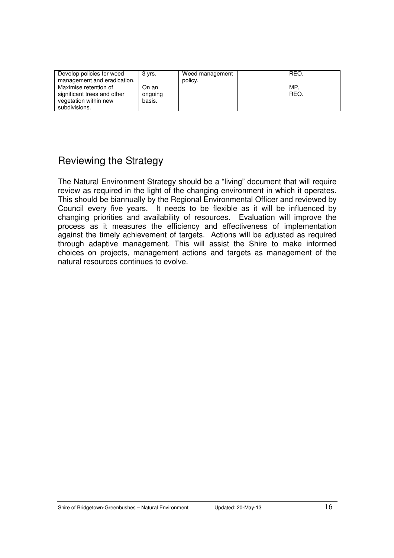| Develop policies for weed<br>management and eradication.                                       | 3 vrs.                     | Weed management<br>policy. | REO.       |
|------------------------------------------------------------------------------------------------|----------------------------|----------------------------|------------|
| Maximise retention of<br>significant trees and other<br>vegetation within new<br>subdivisions. | On an<br>ongoing<br>basis. |                            | MP<br>REO. |

# Reviewing the Strategy

The Natural Environment Strategy should be a "living" document that will require review as required in the light of the changing environment in which it operates. This should be biannually by the Regional Environmental Officer and reviewed by Council every five years. It needs to be flexible as it will be influenced by changing priorities and availability of resources. Evaluation will improve the process as it measures the efficiency and effectiveness of implementation against the timely achievement of targets. Actions will be adjusted as required through adaptive management. This will assist the Shire to make informed choices on projects, management actions and targets as management of the natural resources continues to evolve.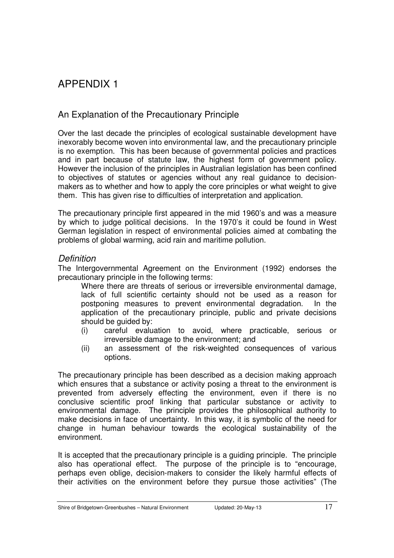# APPENDIX 1

### An Explanation of the Precautionary Principle

Over the last decade the principles of ecological sustainable development have inexorably become woven into environmental law, and the precautionary principle is no exemption. This has been because of governmental policies and practices and in part because of statute law, the highest form of government policy. However the inclusion of the principles in Australian legislation has been confined to objectives of statutes or agencies without any real guidance to decisionmakers as to whether and how to apply the core principles or what weight to give them. This has given rise to difficulties of interpretation and application.

The precautionary principle first appeared in the mid 1960's and was a measure by which to judge political decisions. In the 1970's it could be found in West German legislation in respect of environmental policies aimed at combating the problems of global warming, acid rain and maritime pollution.

#### **Definition**

The Intergovernmental Agreement on the Environment (1992) endorses the precautionary principle in the following terms:

Where there are threats of serious or irreversible environmental damage, lack of full scientific certainty should not be used as a reason for postponing measures to prevent environmental degradation. In the application of the precautionary principle, public and private decisions should be guided by:

- (i) careful evaluation to avoid, where practicable, serious or irreversible damage to the environment; and
- (ii) an assessment of the risk-weighted consequences of various options.

The precautionary principle has been described as a decision making approach which ensures that a substance or activity posing a threat to the environment is prevented from adversely effecting the environment, even if there is no conclusive scientific proof linking that particular substance or activity to environmental damage. The principle provides the philosophical authority to make decisions in face of uncertainty. In this way, it is symbolic of the need for change in human behaviour towards the ecological sustainability of the environment.

It is accepted that the precautionary principle is a guiding principle. The principle also has operational effect. The purpose of the principle is to "encourage, perhaps even oblige, decision-makers to consider the likely harmful effects of their activities on the environment before they pursue those activities" (The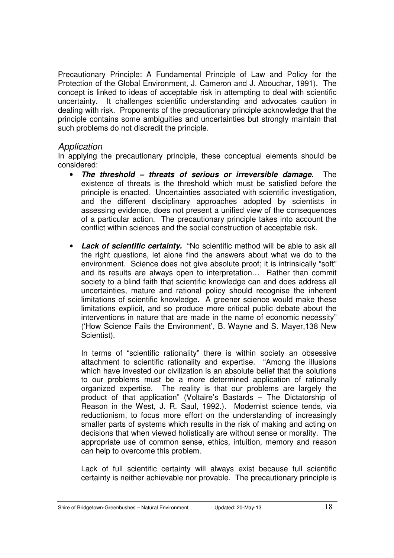Precautionary Principle: A Fundamental Principle of Law and Policy for the Protection of the Global Environment, J. Cameron and J. Abouchar, 1991). The concept is linked to ideas of acceptable risk in attempting to deal with scientific uncertainty. It challenges scientific understanding and advocates caution in dealing with risk. Proponents of the precautionary principle acknowledge that the principle contains some ambiguities and uncertainties but strongly maintain that such problems do not discredit the principle.

#### Application

In applying the precautionary principle, these conceptual elements should be considered:

- **The threshold threats of serious or irreversible damage.** The existence of threats is the threshold which must be satisfied before the principle is enacted. Uncertainties associated with scientific investigation, and the different disciplinary approaches adopted by scientists in assessing evidence, does not present a unified view of the consequences of a particular action. The precautionary principle takes into account the conflict within sciences and the social construction of acceptable risk.
- **Lack of scientific certainty.** "No scientific method will be able to ask all the right questions, let alone find the answers about what we do to the environment. Science does not give absolute proof; it is intrinsically "soft" and its results are always open to interpretation… Rather than commit society to a blind faith that scientific knowledge can and does address all uncertainties, mature and rational policy should recognise the inherent limitations of scientific knowledge. A greener science would make these limitations explicit, and so produce more critical public debate about the interventions in nature that are made in the name of economic necessity" ('How Science Fails the Environment', B. Wayne and S. Mayer,138 New Scientist).

In terms of "scientific rationality" there is within society an obsessive attachment to scientific rationality and expertise. "Among the illusions which have invested our civilization is an absolute belief that the solutions to our problems must be a more determined application of rationally organized expertise. The reality is that our problems are largely the product of that application" (Voltaire's Bastards – The Dictatorship of Reason in the West, J. R. Saul, 1992.). Modernist science tends, via reductionism, to focus more effort on the understanding of increasingly smaller parts of systems which results in the risk of making and acting on decisions that when viewed holistically are without sense or morality. The appropriate use of common sense, ethics, intuition, memory and reason can help to overcome this problem.

Lack of full scientific certainty will always exist because full scientific certainty is neither achievable nor provable. The precautionary principle is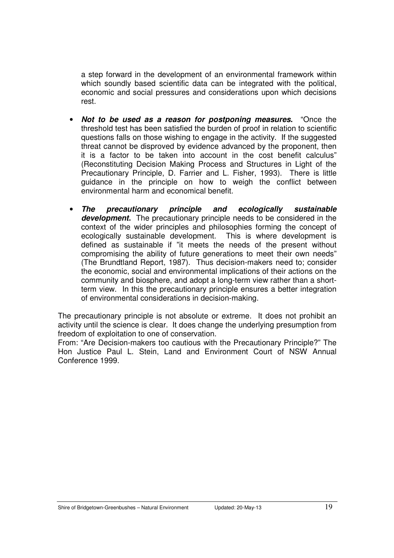a step forward in the development of an environmental framework within which soundly based scientific data can be integrated with the political, economic and social pressures and considerations upon which decisions rest.

- **Not to be used as a reason for postponing measures.** "Once the threshold test has been satisfied the burden of proof in relation to scientific questions falls on those wishing to engage in the activity. If the suggested threat cannot be disproved by evidence advanced by the proponent, then it is a factor to be taken into account in the cost benefit calculus" (Reconstituting Decision Making Process and Structures in Light of the Precautionary Principle, D. Farrier and L. Fisher, 1993). There is little guidance in the principle on how to weigh the conflict between environmental harm and economical benefit.
- **The precautionary principle and ecologically sustainable development.** The precautionary principle needs to be considered in the context of the wider principles and philosophies forming the concept of ecologically sustainable development. This is where development is defined as sustainable if "it meets the needs of the present without compromising the ability of future generations to meet their own needs" (The Brundtland Report, 1987). Thus decision-makers need to; consider the economic, social and environmental implications of their actions on the community and biosphere, and adopt a long-term view rather than a shortterm view. In this the precautionary principle ensures a better integration of environmental considerations in decision-making.

The precautionary principle is not absolute or extreme. It does not prohibit an activity until the science is clear. It does change the underlying presumption from freedom of exploitation to one of conservation.

From: "Are Decision-makers too cautious with the Precautionary Principle?" The Hon Justice Paul L. Stein, Land and Environment Court of NSW Annual Conference 1999.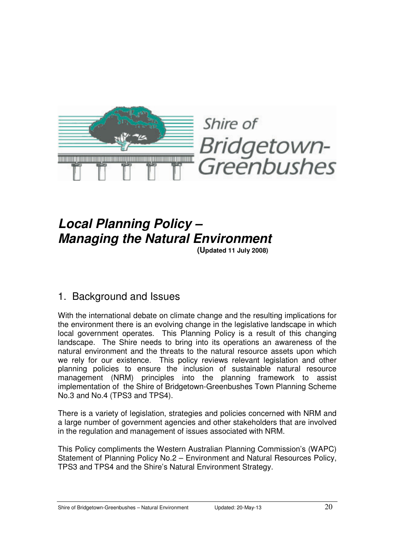

# **Local Planning Policy – Managing the Natural Environment**

**(Updated 11 July 2008)**

# 1. Background and Issues

With the international debate on climate change and the resulting implications for the environment there is an evolving change in the legislative landscape in which local government operates. This Planning Policy is a result of this changing landscape. The Shire needs to bring into its operations an awareness of the natural environment and the threats to the natural resource assets upon which we rely for our existence. This policy reviews relevant legislation and other planning policies to ensure the inclusion of sustainable natural resource management (NRM) principles into the planning framework to assist implementation of the Shire of Bridgetown-Greenbushes Town Planning Scheme No.3 and No.4 (TPS3 and TPS4).

There is a variety of legislation, strategies and policies concerned with NRM and a large number of government agencies and other stakeholders that are involved in the regulation and management of issues associated with NRM.

This Policy compliments the Western Australian Planning Commission's (WAPC) Statement of Planning Policy No.2 – Environment and Natural Resources Policy, TPS3 and TPS4 and the Shire's Natural Environment Strategy.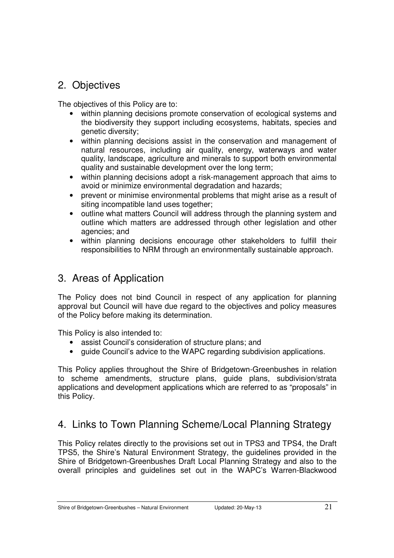# 2. Objectives

The objectives of this Policy are to:

- within planning decisions promote conservation of ecological systems and the biodiversity they support including ecosystems, habitats, species and genetic diversity;
- within planning decisions assist in the conservation and management of natural resources, including air quality, energy, waterways and water quality, landscape, agriculture and minerals to support both environmental quality and sustainable development over the long term;
- within planning decisions adopt a risk-management approach that aims to avoid or minimize environmental degradation and hazards;
- prevent or minimise environmental problems that might arise as a result of siting incompatible land uses together;
- outline what matters Council will address through the planning system and outline which matters are addressed through other legislation and other agencies; and
- within planning decisions encourage other stakeholders to fulfill their responsibilities to NRM through an environmentally sustainable approach.

# 3. Areas of Application

The Policy does not bind Council in respect of any application for planning approval but Council will have due regard to the objectives and policy measures of the Policy before making its determination.

This Policy is also intended to:

- assist Council's consideration of structure plans; and
- quide Council's advice to the WAPC regarding subdivision applications.

This Policy applies throughout the Shire of Bridgetown-Greenbushes in relation to scheme amendments, structure plans, guide plans, subdivision/strata applications and development applications which are referred to as "proposals" in this Policy.

# 4. Links to Town Planning Scheme/Local Planning Strategy

This Policy relates directly to the provisions set out in TPS3 and TPS4, the Draft TPS5, the Shire's Natural Environment Strategy, the guidelines provided in the Shire of Bridgetown-Greenbushes Draft Local Planning Strategy and also to the overall principles and guidelines set out in the WAPC's Warren-Blackwood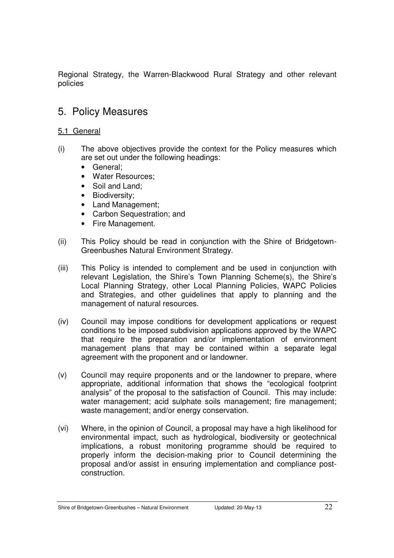Regional Strategy, the Warren-Blackwood Rural Strategy and other relevant policies

# 5. Policy Measures

#### 5.1 General

- (i) The above objectives provide the context for the Policy measures which are set out under the following headings:
	- General;
	- Water Resources;
	- Soil and Land:
	- Biodiversity;
	- Land Management;
	- Carbon Sequestration: and
	- Fire Management.
- (ii) This Policy should be read in conjunction with the Shire of Bridgetown-Greenbushes Natural Environment Strategy.
- (iii) This Policy is intended to complement and be used in conjunction with relevant Legislation, the Shire's Town Planning Scheme(s), the Shire's Local Planning Strategy, other Local Planning Policies, WAPC Policies and Strategies, and other guidelines that apply to planning and the management of natural resources.
- (iv) Council may impose conditions for development applications or request conditions to be imposed subdivision applications approved by the WAPC that require the preparation and/or implementation of environment management plans that may be contained within a separate legal agreement with the proponent and or landowner.
- (v) Council may require proponents and or the landowner to prepare, where appropriate, additional information that shows the "ecological footprint analysis" of the proposal to the satisfaction of Council. This may include: water management; acid sulphate soils management; fire management; waste management; and/or energy conservation.
- (vi) Where, in the opinion of Council, a proposal may have a high likelihood for environmental impact, such as hydrological, biodiversity or geotechnical implications, a robust monitoring programme should be required to properly inform the decision-making prior to Council determining the proposal and/or assist in ensuring implementation and compliance postconstruction.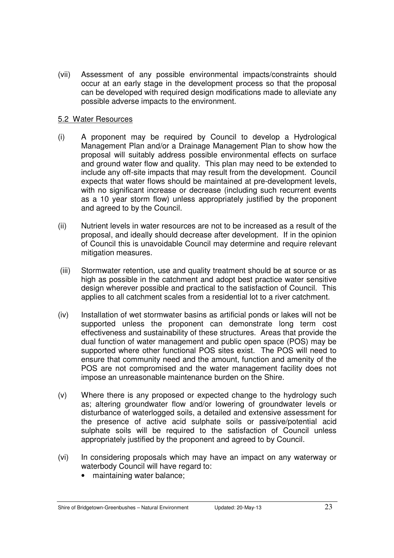(vii) Assessment of any possible environmental impacts/constraints should occur at an early stage in the development process so that the proposal can be developed with required design modifications made to alleviate any possible adverse impacts to the environment.

#### 5.2 Water Resources

- (i) A proponent may be required by Council to develop a Hydrological Management Plan and/or a Drainage Management Plan to show how the proposal will suitably address possible environmental effects on surface and ground water flow and quality. This plan may need to be extended to include any off-site impacts that may result from the development. Council expects that water flows should be maintained at pre-development levels, with no significant increase or decrease (including such recurrent events as a 10 year storm flow) unless appropriately justified by the proponent and agreed to by the Council.
- (ii) Nutrient levels in water resources are not to be increased as a result of the proposal, and ideally should decrease after development. If in the opinion of Council this is unavoidable Council may determine and require relevant mitigation measures.
- (iii) Stormwater retention, use and quality treatment should be at source or as high as possible in the catchment and adopt best practice water sensitive design wherever possible and practical to the satisfaction of Council. This applies to all catchment scales from a residential lot to a river catchment.
- (iv) Installation of wet stormwater basins as artificial ponds or lakes will not be supported unless the proponent can demonstrate long term cost effectiveness and sustainability of these structures. Areas that provide the dual function of water management and public open space (POS) may be supported where other functional POS sites exist. The POS will need to ensure that community need and the amount, function and amenity of the POS are not compromised and the water management facility does not impose an unreasonable maintenance burden on the Shire.
- (v) Where there is any proposed or expected change to the hydrology such as; altering groundwater flow and/or lowering of groundwater levels or disturbance of waterlogged soils, a detailed and extensive assessment for the presence of active acid sulphate soils or passive/potential acid sulphate soils will be required to the satisfaction of Council unless appropriately justified by the proponent and agreed to by Council.
- (vi) In considering proposals which may have an impact on any waterway or waterbody Council will have regard to:
	- maintaining water balance;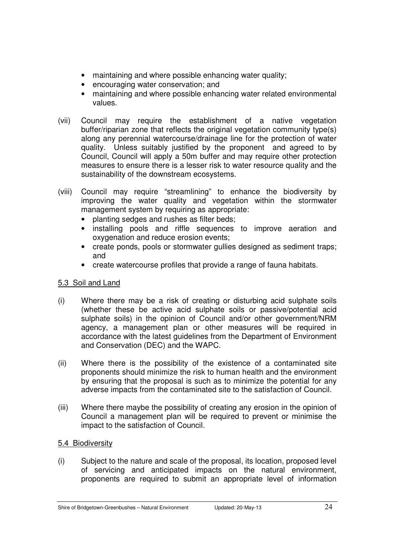- maintaining and where possible enhancing water quality;
- encouraging water conservation; and
- maintaining and where possible enhancing water related environmental values.
- (vii) Council may require the establishment of a native vegetation buffer/riparian zone that reflects the original vegetation community type(s) along any perennial watercourse/drainage line for the protection of water quality. Unless suitably justified by the proponent and agreed to by Council, Council will apply a 50m buffer and may require other protection measures to ensure there is a lesser risk to water resource quality and the sustainability of the downstream ecosystems.
- (viii) Council may require "streamlining" to enhance the biodiversity by improving the water quality and vegetation within the stormwater management system by requiring as appropriate:
	- planting sedges and rushes as filter beds;
	- installing pools and riffle sequences to improve aeration and oxygenation and reduce erosion events;
	- create ponds, pools or stormwater gullies designed as sediment traps; and
	- create watercourse profiles that provide a range of fauna habitats.

#### 5.3 Soil and Land

- (i) Where there may be a risk of creating or disturbing acid sulphate soils (whether these be active acid sulphate soils or passive/potential acid sulphate soils) in the opinion of Council and/or other government/NRM agency, a management plan or other measures will be required in accordance with the latest guidelines from the Department of Environment and Conservation (DEC) and the WAPC.
- (ii) Where there is the possibility of the existence of a contaminated site proponents should minimize the risk to human health and the environment by ensuring that the proposal is such as to minimize the potential for any adverse impacts from the contaminated site to the satisfaction of Council.
- (iii) Where there maybe the possibility of creating any erosion in the opinion of Council a management plan will be required to prevent or minimise the impact to the satisfaction of Council.

#### 5.4 Biodiversity

(i) Subject to the nature and scale of the proposal, its location, proposed level of servicing and anticipated impacts on the natural environment, proponents are required to submit an appropriate level of information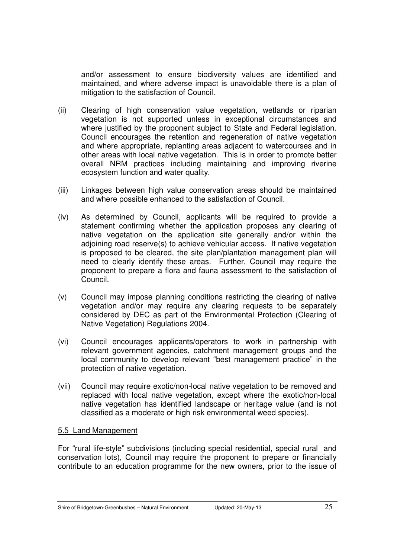and/or assessment to ensure biodiversity values are identified and maintained, and where adverse impact is unavoidable there is a plan of mitigation to the satisfaction of Council.

- (ii) Clearing of high conservation value vegetation, wetlands or riparian vegetation is not supported unless in exceptional circumstances and where justified by the proponent subject to State and Federal legislation. Council encourages the retention and regeneration of native vegetation and where appropriate, replanting areas adjacent to watercourses and in other areas with local native vegetation. This is in order to promote better overall NRM practices including maintaining and improving riverine ecosystem function and water quality.
- (iii) Linkages between high value conservation areas should be maintained and where possible enhanced to the satisfaction of Council.
- (iv) As determined by Council, applicants will be required to provide a statement confirming whether the application proposes any clearing of native vegetation on the application site generally and/or within the adjoining road reserve(s) to achieve vehicular access. If native vegetation is proposed to be cleared, the site plan/plantation management plan will need to clearly identify these areas. Further, Council may require the proponent to prepare a flora and fauna assessment to the satisfaction of Council.
- (v) Council may impose planning conditions restricting the clearing of native vegetation and/or may require any clearing requests to be separately considered by DEC as part of the Environmental Protection (Clearing of Native Vegetation) Regulations 2004.
- (vi) Council encourages applicants/operators to work in partnership with relevant government agencies, catchment management groups and the local community to develop relevant "best management practice" in the protection of native vegetation.
- (vii) Council may require exotic/non-local native vegetation to be removed and replaced with local native vegetation, except where the exotic/non-local native vegetation has identified landscape or heritage value (and is not classified as a moderate or high risk environmental weed species).

#### 5.5 Land Management

For "rural life-style" subdivisions (including special residential, special rural and conservation lots), Council may require the proponent to prepare or financially contribute to an education programme for the new owners, prior to the issue of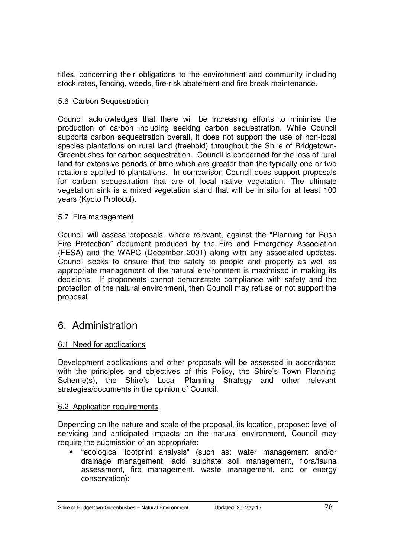titles, concerning their obligations to the environment and community including stock rates, fencing, weeds, fire-risk abatement and fire break maintenance.

#### 5.6 Carbon Sequestration

Council acknowledges that there will be increasing efforts to minimise the production of carbon including seeking carbon sequestration. While Council supports carbon sequestration overall, it does not support the use of non-local species plantations on rural land (freehold) throughout the Shire of Bridgetown-Greenbushes for carbon sequestration. Council is concerned for the loss of rural land for extensive periods of time which are greater than the typically one or two rotations applied to plantations. In comparison Council does support proposals for carbon sequestration that are of local native vegetation. The ultimate vegetation sink is a mixed vegetation stand that will be in situ for at least 100 years (Kyoto Protocol).

#### 5.7 Fire management

Council will assess proposals, where relevant, against the "Planning for Bush Fire Protection" document produced by the Fire and Emergency Association (FESA) and the WAPC (December 2001) along with any associated updates. Council seeks to ensure that the safety to people and property as well as appropriate management of the natural environment is maximised in making its decisions. If proponents cannot demonstrate compliance with safety and the protection of the natural environment, then Council may refuse or not support the proposal.

# 6. Administration

#### 6.1 Need for applications

Development applications and other proposals will be assessed in accordance with the principles and objectives of this Policy, the Shire's Town Planning Scheme(s), the Shire's Local Planning Strategy and other relevant strategies/documents in the opinion of Council.

#### 6.2 Application requirements

Depending on the nature and scale of the proposal, its location, proposed level of servicing and anticipated impacts on the natural environment, Council may require the submission of an appropriate:

• "ecological footprint analysis" (such as: water management and/or drainage management, acid sulphate soil management, flora/fauna assessment, fire management, waste management, and or energy conservation);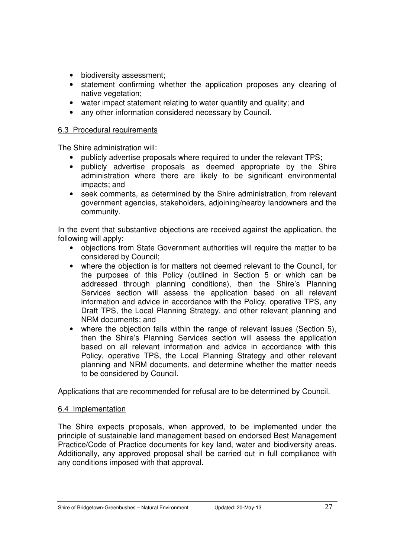- biodiversity assessment;
- statement confirming whether the application proposes any clearing of native vegetation;
- water impact statement relating to water quantity and quality; and
- any other information considered necessary by Council.

#### 6.3 Procedural requirements

The Shire administration will:

- publicly advertise proposals where required to under the relevant TPS;
- publicly advertise proposals as deemed appropriate by the Shire administration where there are likely to be significant environmental impacts; and
- seek comments, as determined by the Shire administration, from relevant government agencies, stakeholders, adjoining/nearby landowners and the community.

In the event that substantive objections are received against the application, the following will apply:

- objections from State Government authorities will require the matter to be considered by Council;
- where the objection is for matters not deemed relevant to the Council, for the purposes of this Policy (outlined in Section 5 or which can be addressed through planning conditions), then the Shire's Planning Services section will assess the application based on all relevant information and advice in accordance with the Policy, operative TPS, any Draft TPS, the Local Planning Strategy, and other relevant planning and NRM documents; and
- where the objection falls within the range of relevant issues (Section 5), then the Shire's Planning Services section will assess the application based on all relevant information and advice in accordance with this Policy, operative TPS, the Local Planning Strategy and other relevant planning and NRM documents, and determine whether the matter needs to be considered by Council.

Applications that are recommended for refusal are to be determined by Council.

#### 6.4 Implementation

The Shire expects proposals, when approved, to be implemented under the principle of sustainable land management based on endorsed Best Management Practice/Code of Practice documents for key land, water and biodiversity areas. Additionally, any approved proposal shall be carried out in full compliance with any conditions imposed with that approval.